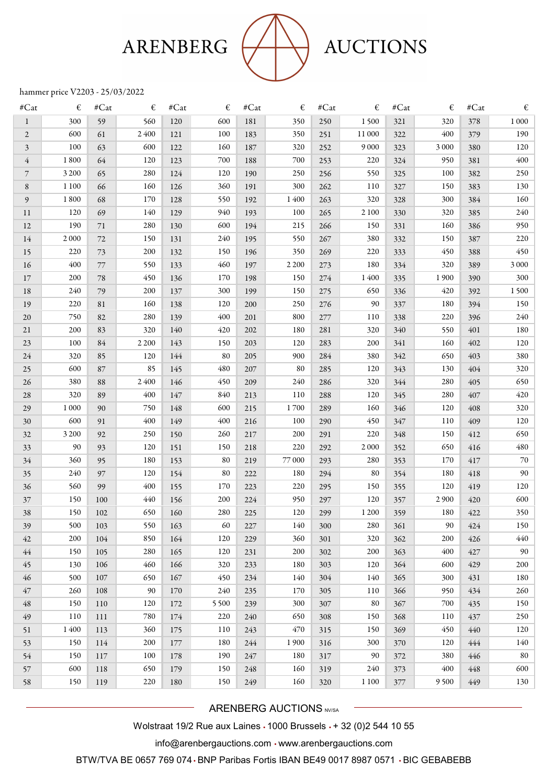# ARENBERG



## **AUCTIONS**

### hammer price V2203 - 25/03/2022

| $\#Cat$        | €       | $\#\mathbf{Cat}$ | €       | $\#\text{Cat}$ | €       | #Cat | €       | #Cat | €       | $\#\mathbf{Cat}$ | €       | $\ensuremath{\mathsf{\#Cat}}$ | €        |
|----------------|---------|------------------|---------|----------------|---------|------|---------|------|---------|------------------|---------|-------------------------------|----------|
| 1              | 300     | 59               | 560     | 120            | 600     | 181  | 350     | 250  | 1500    | 321              | 320     | 378                           | $1\,000$ |
| $\overline{c}$ | 600     | 61               | 2400    | 121            | 100     | 183  | 350     | 251  | 11 000  | 322              | 400     | 379                           | 190      |
| 3              | 100     | 63               | 600     | 122            | 160     | 187  | 320     | 252  | 9 0 0 0 | 323              | 3 0 0 0 | 380                           | 120      |
| 4              | 1800    | 64               | 120     | 123            | 700     | 188  | 700     | 253  | 220     | 324              | 950     | 381                           | 400      |
| $\overline{7}$ | 3 2 0 0 | 65               | 280     | 124            | 120     | 190  | 250     | 256  | 550     | 325              | 100     | 382                           | 250      |
| 8              | 1 1 0 0 | 66               | 160     | 126            | 360     | 191  | 300     | 262  | 110     | 327              | 150     | 383                           | 130      |
| 9              | 1800    | 68               | 170     | 128            | 550     | 192  | 1400    | 263  | 320     | 328              | 300     | 384                           | 160      |
| 11             | 120     | 69               | 140     | 129            | 940     | 193  | 100     | 265  | 2 1 0 0 | 330              | 320     | 385                           | 240      |
| 12             | 190     | 71               | 280     | 130            | 600     | 194  | 215     | 266  | 150     | 331              | 160     | 386                           | 950      |
| 14             | 2 0 0 0 | 72               | 150     | 131            | 240     | 195  | 550     | 267  | 380     | 332              | 150     | 387                           | 220      |
| 15             | 220     | 73               | 200     | 132            | 150     | 196  | 350     | 269  | 220     | 333              | 450     | 388                           | 450      |
| 16             | 400     | 77               | 550     | 133            | 460     | 197  | 2 2 0 0 | 273  | 180     | 334              | 320     | 389                           | 3 000    |
| 17             | 200     | 78               | 450     | 136            | 170     | 198  | 150     | 274  | 1400    | 335              | 1900    | 390                           | 300      |
| 18             | 240     | 79               | 200     | 137            | 300     | 199  | 150     | 275  | 650     | 336              | 420     | 392                           | 1500     |
| 19             | 220     | 81               | 160     | 138            | 120     | 200  | 250     | 276  | 90      | 337              | 180     | 394                           | 150      |
| 20             | 750     | 82               | 280     | 139            | 400     | 201  | 800     | 277  | 110     | 338              | 220     | 396                           | 240      |
| 21             | 200     | 83               | 320     | 140            | 420     | 202  | 180     | 281  | 320     | 340              | 550     | 401                           | 180      |
| 23             | 100     | 84               | 2 2 0 0 | 143            | 150     | 203  | 120     | 283  | 200     | 341              | 160     | 402                           | 120      |
| 24             | 320     | 85               | 120     | 144            | 80      | 205  | 900     | 284  | 380     | 342              | 650     | 403                           | 380      |
| 25             | 600     | 87               | 85      | 145            | 480     | 207  | 80      | 285  | 120     | 343              | 130     | 404                           | 320      |
| 26             | 380     | 88               | 2400    | 146            | 450     | 209  | 240     | 286  | 320     | 344              | 280     | 405                           | 650      |
| 28             | 320     | 89               | 400     | 147            | 840     | 213  | 110     | 288  | 120     | 345              | 280     | 407                           | 420      |
| 29             | 1 0 0 0 | 90               | 750     | 148            | 600     | 215  | 1700    | 289  | 160     | 346              | 120     | 408                           | 320      |
| 30             | 600     | 91               | 400     | 149            | 400     | 216  | 100     | 290  | 450     | 347              | 110     | 409                           | 120      |
| 32             | 3 2 0 0 | 92               | 250     | 150            | 260     | 217  | 200     | 291  | 220     | 348              | 150     | 412                           | 650      |
| 33             | 90      | 93               | 120     | 151            | 150     | 218  | 220     | 292  | 2 0 0 0 | 352              | 650     | 416                           | 480      |
| 34             | 360     | 95               | 180     | 153            | 80      | 219  | 77 000  | 293  | 280     | 353              | 170     | 417                           | 70       |
| 35             | 240     | 97               | 120     | 154            | 80      | 222  | 180     | 294  | 80      | 354              | 180     | 418                           | 90       |
| 36             | 560     | 99               | 400     | 155            | 170     | 223  | 220     | 295  | 150     | 355              | 120     | 419                           | 120      |
| 37             | 150     | 100              | 440     | 156            | 200     | 224  | 950     | 297  | 120     | 357              | 2 9 0 0 | 420                           | 600      |
| 38             | 150     | 102              | 650     | 160            | 280     | 225  | 120     | 299  | 1 200   | 359              | 180     | 422                           | 350      |
| 39             | 500     | 103              | 550     | 163            | 60      | 227  | 140     | 300  | 280     | 361              | 90      | 424                           | 150      |
| 42             | 200     | 104              | 850     | 164            | 120     | 229  | 360     | 301  | 320     | 362              | 200     | 426                           | 440      |
| 44             | 150     | 105              | 280     | 165            | 120     | 231  | 200     | 302  | 200     | 363              | 400     | 427                           | 90       |
| 45             | 130     | 106              | 460     | 166            | 320     | 233  | 180     | 303  | 120     | 364              | 600     | 429                           | 200      |
| 46             | 500     | 107              | 650     | 167            | 450     | 234  | 140     | 304  | 140     | 365              | 300     | 431                           | 180      |
| 47             | 260     | 108              | 90      | 170            | 240     | 235  | 170     | 305  | 110     | 366              | 950     | 434                           | 260      |
| $\sqrt{48}$    | 150     | 110              | 120     | 172            | 5 5 0 0 | 239  | 300     | 307  | 80      | 367              | 700     | 435                           | 150      |
| 49             | 110     | 111              | 780     | 174            | 220     | 240  | 650     | 308  | 150     | 368              | 110     | 437                           | 250      |
| 51             | 1400    | 113              | 360     | 175            | 110     | 243  | 470     | 315  | 150     | 369              | 450     | 440                           | 120      |
| 53             | 150     | 114              | 200     | 177            | 180     | 244  | 1900    | 316  | 300     | 370              | 120     | 444                           | 140      |
| 54             | 150     | 117              | 100     | 178            | 190     | 247  | 180     | 317  | 90      | 372              | 380     | 446                           | 80       |
| 57             | 600     | 118              | 650     | 179            | 150     | 248  | 160     | 319  | 240     | 373              | 400     | 448                           | 600      |
| 58             | 150     | 119              | 220     | 180            | 150     | 249  | 160     | 320  | 1 1 0 0 | 377              | 9500    | 449                           | 130      |
|                |         |                  |         |                |         |      |         |      |         |                  |         |                               |          |

ARENBERG AUCTIONS NV/SA

Wolstraat 19/2 Rue aux Laines • 1000 Brussels • + 32 (0)2 544 10 55

info@arenbergauctions.com • www.arenbergauctions.com

BTW/TVA BE 0657 769 074 • BNP Paribas Fortis IBAN BE49 0017 8987 0571 • BIC GEBABEBB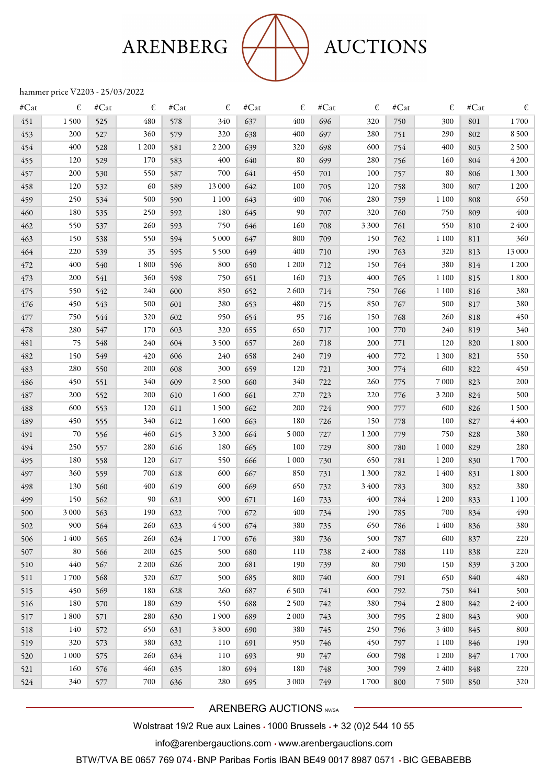## ARENBERG



### **AUCTIONS**

### hammer price V2203 - 25/03/2022

| $\#Cat$ | €       | #Cat | €       | #Cat | €       | $\#Cat$ | €       | #Cat | €       | #Cat | €       | $\#Cat$ | €       |
|---------|---------|------|---------|------|---------|---------|---------|------|---------|------|---------|---------|---------|
| 451     | 1500    | 525  | 480     | 578  | 340     | 637     | 400     | 696  | 320     | 750  | 300     | 801     | 1700    |
| 453     | 200     | 527  | 360     | 579  | 320     | 638     | 400     | 697  | 280     | 751  | 290     | 802     | 8500    |
| 454     | 400     | 528  | 1 200   | 581  | 2 2 0 0 | 639     | 320     | 698  | 600     | 754  | 400     | 803     | 2500    |
| 455     | 120     | 529  | 170     | 583  | 400     | 640     | 80      | 699  | 280     | 756  | 160     | 804     | 4 2 0 0 |
| 457     | 200     | 530  | 550     | 587  | 700     | 641     | 450     | 701  | 100     | 757  | 80      | 806     | 1 300   |
| 458     | 120     | 532  | 60      | 589  | 13 000  | 642     | 100     | 705  | 120     | 758  | 300     | 807     | 1 200   |
| 459     | 250     | 534  | 500     | 590  | 1 1 0 0 | 643     | 400     | 706  | 280     | 759  | 1 1 0 0 | 808     | 650     |
| 460     | 180     | 535  | 250     | 592  | 180     | 645     | 90      | 707  | 320     | 760  | 750     | 809     | 400     |
| 462     | 550     | 537  | 260     | 593  | 750     | 646     | 160     | 708  | 3 3 0 0 | 761  | 550     | 810     | 2400    |
| 463     | 150     | 538  | 550     | 594  | 5 0 0 0 | 647     | 800     | 709  | 150     | 762  | 1 1 0 0 | 811     | 360     |
| 464     | 220     | 539  | 35      | 595  | 5 5 0 0 | 649     | 400     | 710  | 190     | 763  | 320     | 813     | 13 000  |
| 472     | 400     | 540  | 1800    | 596  | 800     | 650     | 1 200   | 712  | 150     | 764  | 380     | 814     | 1 200   |
| 473     | 200     | 541  | 360     | 598  | 750     | 651     | 160     | 713  | 400     | 765  | 1 1 0 0 | 815     | 1800    |
| 475     | 550     | 542  | 240     | 600  | 850     | 652     | 2600    | 714  | 750     | 766  | 1 1 0 0 | 816     | 380     |
| 476     | 450     | 543  | 500     | 601  | 380     | 653     | 480     | 715  | 850     | 767  | 500     | 817     | 380     |
| 477     | 750     | 544  | 320     | 602  | 950     | 654     | 95      | 716  | 150     | 768  | 260     | 818     | 450     |
| 478     | 280     | 547  | 170     | 603  | 320     | 655     | 650     | 717  | 100     | 770  | 240     | 819     | 340     |
| 481     | 75      | 548  | 240     | 604  | 3500    | 657     | 260     | 718  | 200     | 771  | 120     | 820     | 1800    |
| 482     | 150     | 549  | 420     | 606  | 240     | 658     | 240     | 719  | 400     | 772  | 1 3 0 0 | 821     | 550     |
| 483     | 280     | 550  | 200     | 608  | 300     | 659     | 120     | 721  | 300     | 774  | 600     | 822     | 450     |
| 486     | 450     | 551  | 340     | 609  | 2500    | 660     | 340     | 722  | 260     | 775  | 7 0 0 0 | 823     | 200     |
| 487     | 200     | 552  | 200     | 610  | 1600    | 661     | 270     | 723  | 220     | 776  | 3 2 0 0 | 824     | 500     |
| 488     | 600     | 553  | 120     | 611  | 1500    | 662     | 200     | 724  | 900     | 777  | 600     | 826     | 1500    |
| 489     | 450     | 555  | 340     | 612  | 1600    | 663     | 180     | 726  | 150     | 778  | 100     | 827     | 4400    |
| 491     | 70      | 556  | 460     | 615  | 3 2 0 0 | 664     | 5 0 0 0 | 727  | 1 2 0 0 | 779  | 750     | 828     | 380     |
| 494     | 250     | 557  | 280     | 616  | 180     | 665     | 100     | 729  | 800     | 780  | 1 0 0 0 | 829     | 280     |
| 495     | 180     | 558  | 120     | 617  | 550     | 666     | 1 0 0 0 | 730  | 650     | 781  | 1 200   | 830     | 1700    |
| 497     | 360     | 559  | 700     | 618  | 600     | 667     | 850     | 731  | 1 3 0 0 | 782  | 1400    | 831     | 1800    |
| 498     | 130     | 560  | 400     | 619  | 600     | 669     | 650     | 732  | 3400    | 783  | 300     | 832     | 380     |
| 499     | 150     | 562  | 90      | 621  | 900     | 671     | 160     | 733  | 400     | 784  | 1 200   | 833     | 1 1 0 0 |
| 500     | 3 0 0 0 | 563  | 190     | 622  | 700     | 672     | 400     | 734  | 190     | 785  | 700     | 834     | 490     |
| 502     | 900     | 564  | 260     | 623  | 4500    | 674     | 380     | 735  | 650     | 786  | 1400    | 836     | 380     |
| 506     | 1400    | 565  | 260     | 624  | 1700    | 676     | 380     | 736  | 500     | 787  | 600     | 837     | 220     |
| 507     | 80      | 566  | 200     | 625  | 500     | 680     | 110     | 738  | 2400    | 788  | 110     | 838     | 220     |
| 510     | 440     | 567  | 2 2 0 0 | 626  | 200     | 681     | 190     | 739  | 80      | 790  | 150     | 839     | 3 2 0 0 |
| 511     | 1700    | 568  | 320     | 627  | 500     | 685     | 800     | 740  | 600     | 791  | 650     | 840     | 480     |
| 515     | 450     | 569  | 180     | 628  | 260     | 687     | 6500    | 741  | 600     | 792  | 750     | 841     | 500     |
| 516     | 180     | 570  | 180     | 629  | 550     | 688     | 2500    | 742  | 380     | 794  | 2800    | 842     | 2400    |
| 517     | 1800    | 571  | 280     | 630  | 1900    | 689     | 2 0 0 0 | 743  | 300     | 795  | 2 8 0 0 | 843     | 900     |
| 518     | 140     | 572  | 650     | 631  | 3800    | 690     | 380     | 745  | 250     | 796  | 3400    | 845     | 800     |
| 519     | 320     | 573  | 380     | 632  | 110     | 691     | 950     | 746  | 450     | 797  | 1 1 0 0 | 846     | 190     |
| 520     | 1 0 0 0 | 575  | 260     | 634  | 110     | 693     | 90      | 747  | 600     | 798  | 1 200   | 847     | 1700    |
| 521     | 160     | 576  | 460     | 635  | 180     | 694     | 180     | 748  | 300     | 799  | 2400    | 848     | 220     |
| 524     | 340     | 577  | 700     | 636  | 280     | 695     | 3 0 0 0 | 749  | 1700    | 800  | 7500    | 850     | 320     |

ARENBERG AUCTIONS NV/SA

Wolstraat 19/2 Rue aux Laines • 1000 Brussels • + 32 (0)2 544 10 55

info@arenbergauctions.com • www.arenbergauctions.com

BTW/TVA BE 0657 769 074 • BNP Paribas Fortis IBAN BE49 0017 8987 0571 • BIC GEBABEBB